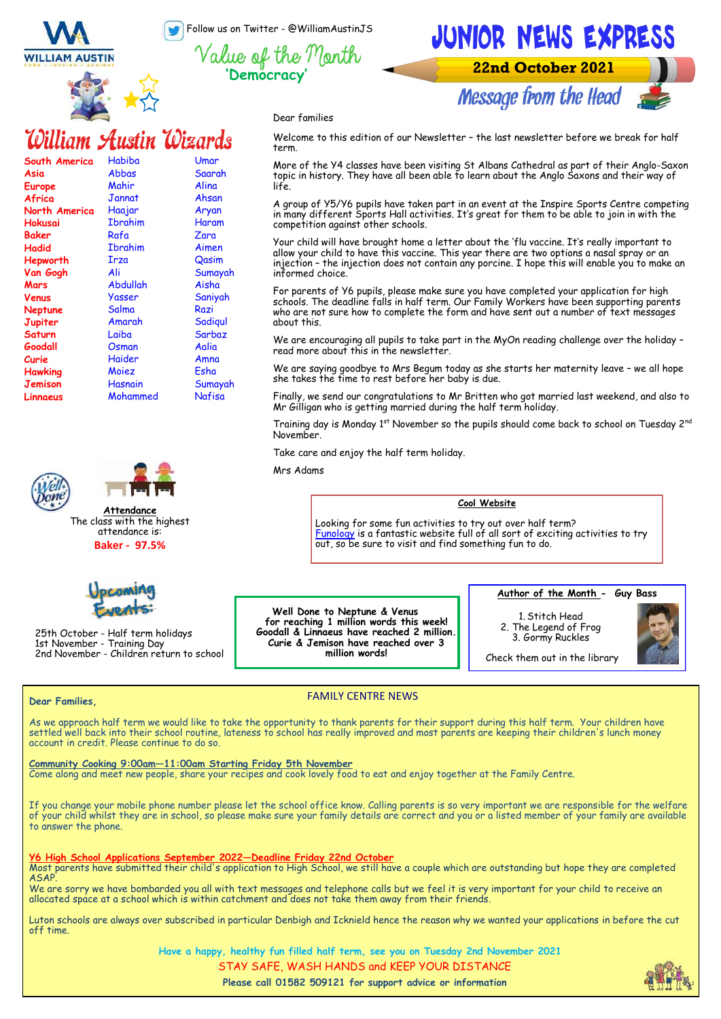Follow us on Twitter - @WilliamAustinJS





## JUNIOR NEWS EXPRESS

**22nd October 2021** 



Dear families

### William Austin Wizards

| South America        | Habiba         | Umar    |
|----------------------|----------------|---------|
| Asia                 | Abbas          | Saarah  |
| Europe               | Mahir          | Alina   |
| Africa               | Jannat         | Ahsan   |
| <b>North America</b> | Haajar         | Aryan   |
| Hokusai              | <b>Ibrahim</b> | Haram   |
| Baker                | Rafa           | Zara    |
| Hadid                | Ibrahim        | Aimen   |
| Hepworth             | Irza           | Qasim   |
| Van Gogh             | Ali            | Sumayah |
| Mars                 | Abdullah       | Aisha   |
| Venus                | Yasser         | Saniyah |
| Neptune              | Salma          | Razi    |
| Jupiter              | Amarah         | Sadigul |
| <b>Saturn</b>        | Laiba          | Sarbaz  |
| Goodall              | Osman          | Aalia   |
| Curie                | Haider         | Amna    |
| Hawking              | Moiez          | Esha    |
| Jemison              | Hasnain        | Sumayah |
| Linnaeus             | Mohammed       | Nafisa  |
|                      |                |         |





The class with the highest attendance is: **Baker - 97.5%**



25th October - Half term holidays 1st November - Training Day 2nd November - Children return to school

Welcome to this edition of our Newsletter – the last newsletter before we break for half term.

More of the Y4 classes have been visiting St Albans Cathedral as part of their Anglo-Saxon topic in history. They have all been able to learn about the Anglo Saxons and their way of life.

A group of Y5/Y6 pupils have taken part in an event at the Inspire Sports Centre competing in many different Sports Hall activities. It's great for them to be able to join in with the competition against other schools.

Your child will have brought home a letter about the 'flu vaccine. It's really important to allow your child to have this vaccine. This year there are two options a nasal spray or an injection – the injection does not contain any porcine. I hope this will enable you to make an informed choice.

For parents of Y6 pupils, please make sure you have completed your application for high schools. The deadline falls in half term. Our Family Workers have been supporting parents who are not sure how to complete the form and have sent out a number of text messages about this.

We are encouraging all pupils to take part in the MyOn reading challenge over the holiday – read more about this in the newsletter.

We are saying goodbye to Mrs Begum today as she starts her maternity leave – we all hope she takes the time to rest before her baby is due.

Finally, we send our congratulations to Mr Britten who got married last weekend, and also to Mr Gilligan who is getting married during the half term holiday.

Training day is Monday 1st November so the pupils should come back to school on Tuesday 2nd November.

Take care and enjoy the half term holiday.

Mrs Adams

#### **Cool Website**

Looking for some fun activities to try out over half term? [Funology](https://www.funology.com/) is a fantastic website full of all sort of exciting activities to try out, so be sure to visit and find something fun to do.

**Well Done to Neptune & Venus for reaching 1 million words this week! Goodall & Linnaeus have reached 2 million. Curie & Jemison have reached over 3 million words!**

**Author of the Month - Guy Bass**

1. Stitch Head 2. The Legend of Frog 3. Gormy Ruckles



Check them out in the library

#### **Dear Families,**

### FAMILY CENTRE NEWS

As we approach half term we would like to take the opportunity to thank parents for their support during this half term. Your children have settled well back into their school routine, lateness to school has really improved and most parents are keeping their children's lunch money account in credit. Please continue to do so.

#### **Community Cooking 9:00am—11:00am Starting Friday 5th November**

Come along and meet new people, share your recipes and cook lovely food to eat and enjoy together at the Family Centre.

If you change your mobile phone number please let the school office know. Calling parents is so very important we are responsible for the welfare of your child whilst they are in school, so please make sure your family details are correct and you or a listed member of your family are available to answer the phone.

#### **Y6 High School Applications September 2022—Deadline Friday 22nd October**

Most parents have submitted their child's application to High School, we still have a couple which are outstanding but hope they are completed ASAP.

We are sorry we have bombarded you all with text messages and telephone calls but we feel it is very important for your child to receive an allocated space at a school which is within catchment and does not take them away from their friends.

Luton schools are always over subscribed in particular Denbigh and Icknield hence the reason why we wanted your applications in before the cut off time.

**Have a happy, healthy fun filled half term, see you on Tuesday 2nd November 2021**

STAY SAFE, WASH HANDS and KEEP YOUR DISTANCE

**Please call 01582 509121 for support advice or information**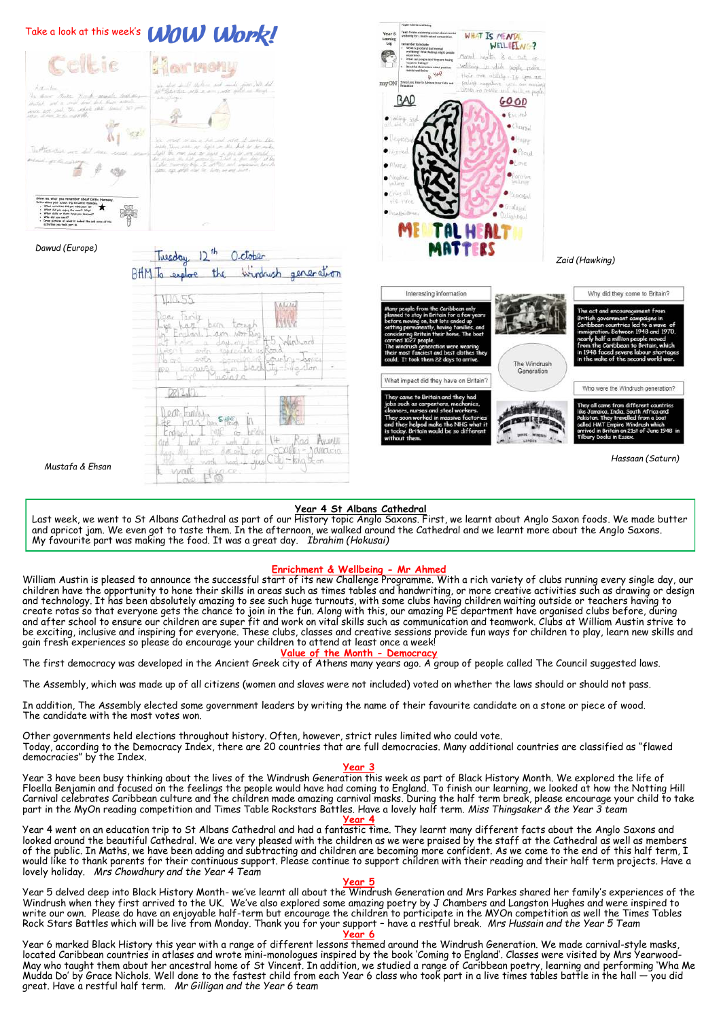

#### **Year 4 St Albans Cathedral**

Last week, we went to St Albans Cathedral as part of our History topic Anglo Saxons. First, we learnt about Anglo Saxon foods. We made butter and apricot jam. We even got to taste them. In the afternoon, we walked around the Cathedral and we learnt more about the Anglo Saxons. My favourite part was making the food. It was a great day. *Ibrahim (Hokusai)*

### **Enrichment & Wellbeing - Mr Ahmed**

William Austin is pleased to announce the successful start of its new Challenge Programme. With a rich variety of clubs running every single day, our children have the opportunity to hone their skills in areas such as times tables and handwriting, or more creative activities such as drawing or design and technology. It has been absolutely amazing to see such huge turnouts, with some clubs having children waiting outside or teachers having to create rotas so that everyone gets the chance to join in the fun. Along with this, our amazing PE department have organised clubs before, during and after school to ensure our children are super fit and work on vital skills such as communication and teamwork. Clubs at William Austin strive to be exciting, inclusive and inspiring for everyone. These clubs, classes and creative sessions provide fun ways for children to play, learn new skills and gain fresh experiences so please do encourage your children to attend at least once a week! **Value of the Month - Democracy**

The first democracy was developed in the Ancient Greek city of Athens many years ago. A group of people called The Council suggested laws.

The Assembly, which was made up of all citizens (women and slaves were not included) voted on whether the laws should or should not pass.

In addition, The Assembly elected some government leaders by writing the name of their favourite candidate on a stone or piece of wood. The candidate with the most votes won.

Other governments held elections throughout history. Often, however, strict rules limited who could vote. Today, according to the Democracy Index, there are 20 countries that are full democracies. Many additional countries are classified as "flawed democracies" by the Index.

#### **Year 3**

Year 3 have been busy thinking about the lives of the Windrush Generation this week as part of Black History Month. We explored the life of Floella Benjamin and focused on the feelings the people would have had coming to England. To finish our learning, we looked at how the Notting Hill Carnival celebrates Caribbean culture and the children made amazing carnival masks. During the half term break, please encourage your child to take part in the MyOn reading competition and Times Table Rockstars Battles. Have a lovely half term. *Miss Thingsaker & the Year 3 team* **Year 4**

Year 4 went on an education trip to St Albans Cathedral and had a fantastic time. They learnt many different facts about the Anglo Saxons and looked around the beautiful Cathedral. We are very pleased with the children as we were praised by the staff at the Cathedral as well as members of the public. In Maths, we have been adding and subtracting and children are becoming more confident. As we come to the end of this half term, I would like to thank parents for their continuous support. Please continue to support children with their reading and their half term projects. Have a lovely holiday. *Mrs Chowdhury and the Year 4 Team*

**Year 5** Year 5 delved deep into Black History Month- we've learnt all about the Windrush Generation and Mrs Parkes shared her family's experiences of the Windrush when they first arrived to the UK. We've also explored some amazing poetry by J Chambers and Langston Hughes and were inspired to write our own. Please do have an enjoyable half-term but encourage the children to participate in the MYOn competition as well the Times Tables Rock Stars Battles which will be live from Monday. Thank you for your support – have a restful break. *Mrs Hussain and the Year 5 Team*

#### **Year 6**

Year 6 marked Black History this year with a range of different lesson<del>s them</del>ed around the Windrush Generation. We made carnival-style masks, located Caribbean countries in atlases and wrote mini-monologues inspired by the book 'Coming to England'. Classes were visited by Mrs Yearwood-May who taught them about her ancestral home of St Vincent. In addition, we studied a range of Caribbean poetry, learning and performing 'Wha Me Mudda Do' by Grace Nichols. Well done to the fastest child from each Year 6 class who took part in a live times tables battle in the hall — you did great. Have a restful half term. *Mr Gilligan and the Year 6 team*